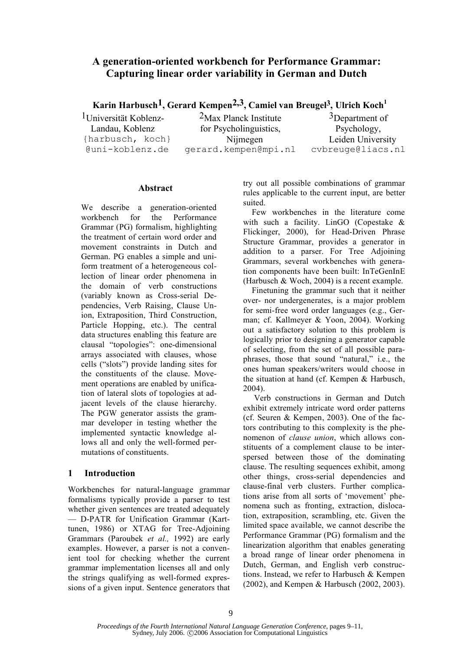# **A generation-oriented workbench for Performance Grammar: Capturing linear order variability in German and Dutch**

**Karin Harbusch1, Gerard Kempen2,3, Camiel van Breugel3, Ulrich Koch<sup>1</sup>**

1Universität Koblenz-Landau, Koblenz {harbusch, koch} @uni-koblenz.de

2Max Planck Institute for Psycholinguistics, Nijmegen gerard.kempen@mpi.nl

3Department of Psychology, Leiden University cvbreuge@liacs.nl

### **Abstract**

We describe a generation-oriented workbench for the Performance Grammar (PG) formalism, highlighting the treatment of certain word order and movement constraints in Dutch and German. PG enables a simple and uniform treatment of a heterogeneous collection of linear order phenomena in the domain of verb constructions (variably known as Cross-serial Dependencies, Verb Raising, Clause Union, Extraposition, Third Construction, Particle Hopping, etc.). The central data structures enabling this feature are clausal "topologies": one-dimensional arrays associated with clauses, whose cells ("slots") provide landing sites for the constituents of the clause. Movement operations are enabled by unification of lateral slots of topologies at adjacent levels of the clause hierarchy. The PGW generator assists the grammar developer in testing whether the implemented syntactic knowledge allows all and only the well-formed permutations of constituents.

## **1 Introduction**

Workbenches for natural-language grammar formalisms typically provide a parser to test whether given sentences are treated adequately — D-PATR for Unification Grammar (Karttunen, 1986) or XTAG for Tree-Adjoining Grammars (Paroubek *et al.,* 1992) are early examples. However, a parser is not a convenient tool for checking whether the current grammar implementation licenses all and only the strings qualifying as well-formed expressions of a given input. Sentence generators that try out all possible combinations of grammar rules applicable to the current input, are better suited.

Few workbenches in the literature come with such a facility. LinGO (Copestake & Flickinger, 2000), for Head-Driven Phrase Structure Grammar, provides a generator in addition to a parser. For Tree Adjoining Grammars, several workbenches with generation components have been built: InTeGenInE (Harbusch & Woch, 2004) is a recent example.

Finetuning the grammar such that it neither over- nor undergenerates, is a major problem for semi-free word order languages (e.g., German; cf. Kallmeyer & Yoon, 2004). Working out a satisfactory solution to this problem is logically prior to designing a generator capable of selecting, from the set of all possible paraphrases, those that sound "natural," i.e., the ones human speakers/writers would choose in the situation at hand (cf. Kempen & Harbusch, 2004).

Verb constructions in German and Dutch exhibit extremely intricate word order patterns (cf. Seuren & Kempen, 2003). One of the factors contributing to this complexity is the phenomenon of *clause union*, which allows constituents of a complement clause to be interspersed between those of the dominating clause. The resulting sequences exhibit, among other things, cross-serial dependencies and clause-final verb clusters. Further complications arise from all sorts of 'movement' phenomena such as fronting, extraction, dislocation, extraposition, scrambling, etc. Given the limited space available, we cannot describe the Performance Grammar (PG) formalism and the linearization algorithm that enables generating a broad range of linear order phenomena in Dutch, German, and English verb constructions. Instead, we refer to Harbusch & Kempen (2002), and Kempen & Harbusch (2002, 2003).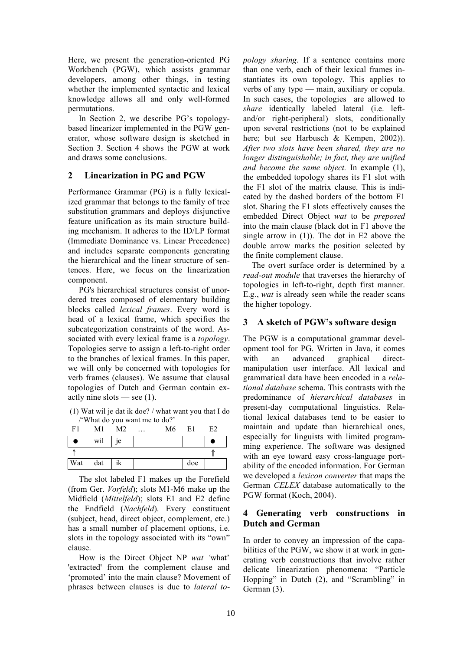Here, we present the generation-oriented PG Workbench (PGW), which assists grammar developers, among other things, in testing whether the implemented syntactic and lexical knowledge allows all and only well-formed permutations.

In Section 2, we describe PG's topologybased linearizer implemented in the PGW generator, whose software design is sketched in Section 3. Section 4 shows the PGW at work and draws some conclusions.

#### **2 Linearization in PG and PGW**

Performance Grammar (PG) is a fully lexicalized grammar that belongs to the family of tree substitution grammars and deploys disjunctive feature unification as its main structure building mechanism. It adheres to the ID/LP format (Immediate Dominance vs. Linear Precedence) and includes separate components generating the hierarchical and the linear structure of sentences. Here, we focus on the linearization component.

PG's hierarchical structures consist of unordered trees composed of elementary building blocks called *lexical frames*. Every word is head of a lexical frame, which specifies the subcategorization constraints of the word. Associated with every lexical frame is a *topology*. Topologies serve to assign a left-to-right order to the branches of lexical frames. In this paper, we will only be concerned with topologies for verb frames (clauses). We assume that clausal topologies of Dutch and German contain exactly nine slots — see  $(1)$ .

(1) Wat wil je dat ik doe? / what want you that I do /'What do you want me to do?'

| F1  | M1  | M2            | $\ddotsc$ | M6 | E1  | E2 |
|-----|-----|---------------|-----------|----|-----|----|
| ●   | wil | <sub>1e</sub> |           |    |     |    |
|     |     |               |           |    |     |    |
| Wat | dat | ik            |           |    | doe |    |

The slot labeled F1 makes up the Forefield (from Ger. *Vorfeld*); slots M1-M6 make up the Midfield (*Mittelfeld*); slots E1 and E2 define the Endfield (*Nachfeld*). Every constituent (subject, head, direct object, complement, etc.) has a small number of placement options, i.e. slots in the topology associated with its "own" clause.

How is the Direct Object NP *wat '*what' 'extracted' from the complement clause and 'promoted' into the main clause? Movement of phrases between clauses is due to *lateral to-* *pology sharing*. If a sentence contains more than one verb, each of their lexical frames instantiates its own topology. This applies to verbs of any type — main, auxiliary or copula. In such cases, the topologies are allowed to *share* identically labeled lateral (i.e. leftand/or right-peripheral) slots, conditionally upon several restrictions (not to be explained here; but see Harbusch & Kempen, 2002)). *After two slots have been shared, they are no longer distinguishable; in fact, they are unified and become the same object.* In example (1), the embedded topology shares its F1 slot with the F1 slot of the matrix clause. This is indicated by the dashed borders of the bottom F1 slot. Sharing the F1 slots effectively causes the embedded Direct Object *wat* to be *preposed* into the main clause (black dot in F1 above the single arrow in (1)). The dot in E2 above the double arrow marks the position selected by the finite complement clause.

The overt surface order is determined by a *read-out module* that traverses the hierarchy of topologies in left-to-right, depth first manner. E.g., *wat* is already seen while the reader scans the higher topology.

### **3 A sketch of PGW's software design**

The PGW is a computational grammar development tool for PG. Written in Java, it comes with an advanced graphical directmanipulation user interface. All lexical and grammatical data have been encoded in a *relational database* schema. This contrasts with the predominance of *hierarchical databases* in present-day computational linguistics. Relational lexical databases tend to be easier to maintain and update than hierarchical ones, especially for linguists with limited programming experience. The software was designed with an eye toward easy cross-language portability of the encoded information. For German we developed a *lexicon converter* that maps the German *CELEX* database automatically to the PGW format (Koch, 2004).

### **4 Generating verb constructions in Dutch and German**

In order to convey an impression of the capabilities of the PGW, we show it at work in generating verb constructions that involve rather delicate linearization phenomena: "Particle Hopping" in Dutch (2), and "Scrambling" in German (3).